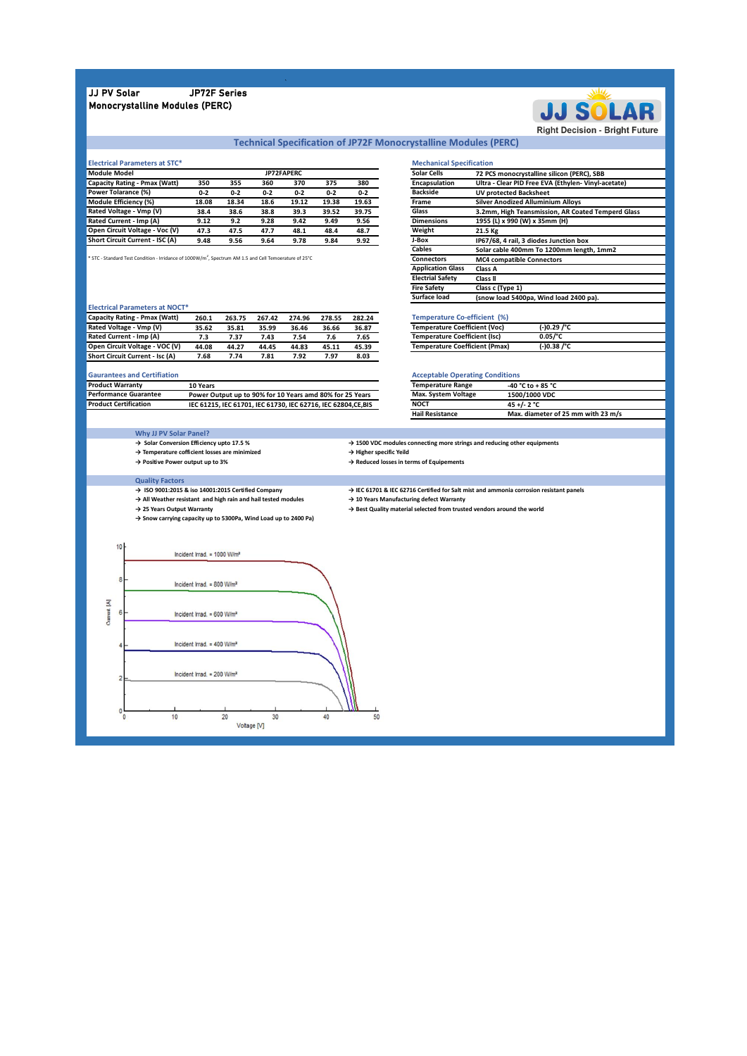# JJ PV Solar JP72F Series Monocrystalline Modules (PERC)



# **Technical Specification of JP72F Monocrystalline Modules (PERC)**

T

50

| <b>Electrical Parameters at STC*</b> |         |         |         |            |         |         | <b>Mechanical Specification</b> |                   |
|--------------------------------------|---------|---------|---------|------------|---------|---------|---------------------------------|-------------------|
| Module Model                         |         |         |         | JP72FAPERC |         |         | <b>Solar Cells</b>              | <b>72 PCS</b>     |
| Capacity Rating - Pmax (Watt)        | 350     | 355     | 360     | 370        | 375     | 380     | <b>Encapsulation</b>            | Ultra -           |
| Power Tolarance (%)                  | $0 - 2$ | $0 - 2$ | $0 - 2$ | $0 - 2$    | $0 - 2$ | $0 - 2$ | <b>Backside</b>                 | UV pro            |
| Module Efficiency (%)                | 18.08   | 18.34   | 18.6    | 19.12      | 19.38   | 19.63   | Frame                           | Silver A          |
| Rated Voltage - Vmp (V)              | 38.4    | 38.6    | 38.8    | 39.3       | 39.52   | 39.75   | Glass                           | 3.2 <sub>mm</sub> |
| Rated Current - Imp (A)              | 9.12    | 9.2     | 9.28    | 9.42       | 9.49    | 9.56    | <b>Dimensions</b>               | 1955 (L           |
| Open Circuit Voltage - Voc (V)       | 47.3    | 47.5    | 47.7    | 48.1       | 48.4    | 48.7    | Weight                          | 21.5 Kg           |
| Short Circuit Current - ISC (A)      | 9.48    | 9.56    | 9.64    | 9.78       | 9.84    | 9.92    | J-Box                           | IP67/68           |

\* STC - Standard Test Condition - Irridance of 1000W/m<sup>2</sup>

#### **Electrical Parameters at NOCT\***

| Capacity Rating - Pmax (Watt)          | 260.1 | 263.75 | 267.42 | 274.96 | 278.55 | 282.24 |  |
|----------------------------------------|-------|--------|--------|--------|--------|--------|--|
| Rated Voltage - Vmp (V)                | 35.62 | 35.81  | 35.99  | 36.46  | 36.66  | 36.87  |  |
| Rated Current - Imp (A)                | 7.3   | 7.37   | 7.43   | 7.54   | 7.6    | 7.65   |  |
| Open Circuit Voltage - VOC (V)         | 44.08 | 44.27  | 44.45  | 44.83  | 45.11  | 45.39  |  |
| <b>Short Circuit Current - Isc (A)</b> | 7.68  | 7.74   | 7.81   | 7.92   | 7.97   | 8.03   |  |

### **Gaurantees and Certifiation**

| <b>Product Warranty</b>      | 10 Years                                                     |             | <b>Temperature Range</b>   | $-40 °C$ to $+85 °C$ |
|------------------------------|--------------------------------------------------------------|-------------|----------------------------|----------------------|
| Performance Guarantee        | Power Output up to 90% for 10 Years amd 80% for 25 Years     |             | <b>Max. System Voltage</b> | <b>1500/1000 VDC</b> |
| <b>Product Certification</b> | IEC 61215. IEC 61701. IEC 61730. IEC 62716. IEC 62804.CE.BIS | <b>NOCT</b> |                            | 45 +/- 2 °C          |

## **Why JJ PV Solar Panel?**

- → Solar Conversion Efficiency upto
- 
- 

- 
- → All Weather resistant and high model
- 

**Mechanical Specification 72 PCS monocrystalline silicon (PERC), SBB 350 355 360 370 375 380 Ultra - Clear PID Free EVA (Ethylen- Vinyl-acetate) 0-2 0-2 0-2 0-2 0-2 0-2 UV protected Backsheet 18.08 18.34 18.6 19.12 19.38 19.63 Silver Anodized Alluminium Alloys 39.75 3.2mm, High Teansmission, AR Coated Temperd Glas**<br>**3.56 3.53 3.2mm, High Teams 3.35mm (H) 9.56 Dimensions 1955 (L) x 990 (W) x 35mm (H)**<br> **48.7 Weight 21.5 Kg 9.48 9.56 9.64 9.78 9.84 9.92 IP67/68, 4 rail, 3 diodes Junction box Solar cable 400mm To 1200mm length, 1mm2** MC4 compatible Connectors **Application Glass Class A Electrial Safety Class R**<br>**Electrial Safety Class II**<br>**Fire Safety Class c Fire Safety Class c (Type 1) Surface load (snow load 5400pa, Wind load 2400 pa). Solar Cells Encapsulation Backside Frame Glass Dimensions Weight J-Box Cables**

## **260.1 263.75 267.42 274.96 278.55 282.24 Temperature Co-efficient (%)**

| <b>Temperature Coefficient (Voc)</b>  | $(-)0.29$ /°C |  |
|---------------------------------------|---------------|--|
| <b>Temperature Coefficient (Isc)</b>  | 0.05/°C       |  |
| <b>Temperature Coefficient (Pmax)</b> | $(-)0.38$ /°C |  |

| <b>Acceptable Operating Conditions</b> |                                    |  |  |  |  |
|----------------------------------------|------------------------------------|--|--|--|--|
| <b>Temperature Range</b>               | -40 °C to + 85 °C                  |  |  |  |  |
| Max. System Voltage                    | 1500/1000 VDC                      |  |  |  |  |
| <b>NOCT</b>                            | 45 +/- 2 $^{\circ}$ C              |  |  |  |  |
| <b>Hail Resistance</b>                 | Max. diameter of 25 mm with 23 m/s |  |  |  |  |

| <b>Why JJ PV Solar Panel?</b>                                               |                                                                                                    |
|-----------------------------------------------------------------------------|----------------------------------------------------------------------------------------------------|
| $\rightarrow$ Solar Conversion Efficiency upto 17.5 %                       | $\rightarrow$ 1500 VDC modules connecting more strings and reducing other equipments               |
| $\rightarrow$ Temperature cofficient losses are minimized                   | $\rightarrow$ Higher specific Yeild                                                                |
| $\rightarrow$ Positive Power output up to 3%                                | $\rightarrow$ Reduced losses in terms of Equipements                                               |
|                                                                             |                                                                                                    |
| <b>Quality Factors</b>                                                      |                                                                                                    |
| $\rightarrow$ ISO 9001:2015 & iso 14001:2015 Certified Company              | $\rightarrow$ IEC 61701 & IEC 62716 Certified for Salt mist and ammonia corrosion resistant panels |
| $\rightarrow$ All Weather resistant and high rain and hail tested modules   | $\rightarrow$ 10 Years Manufacturing defect Warranty                                               |
| → 25 Years Output Warranty                                                  | $\rightarrow$ Best Quality material selected from trusted vendors around the world                 |
| $\rightarrow$ Snow carrying capacity up to 5300Pa, Wind Load up to 2400 Pa) |                                                                                                    |
|                                                                             |                                                                                                    |
|                                                                             |                                                                                                    |
|                                                                             |                                                                                                    |
| Incident Irrad. = $1000 \text{ W/m}^2$                                      |                                                                                                    |
|                                                                             |                                                                                                    |

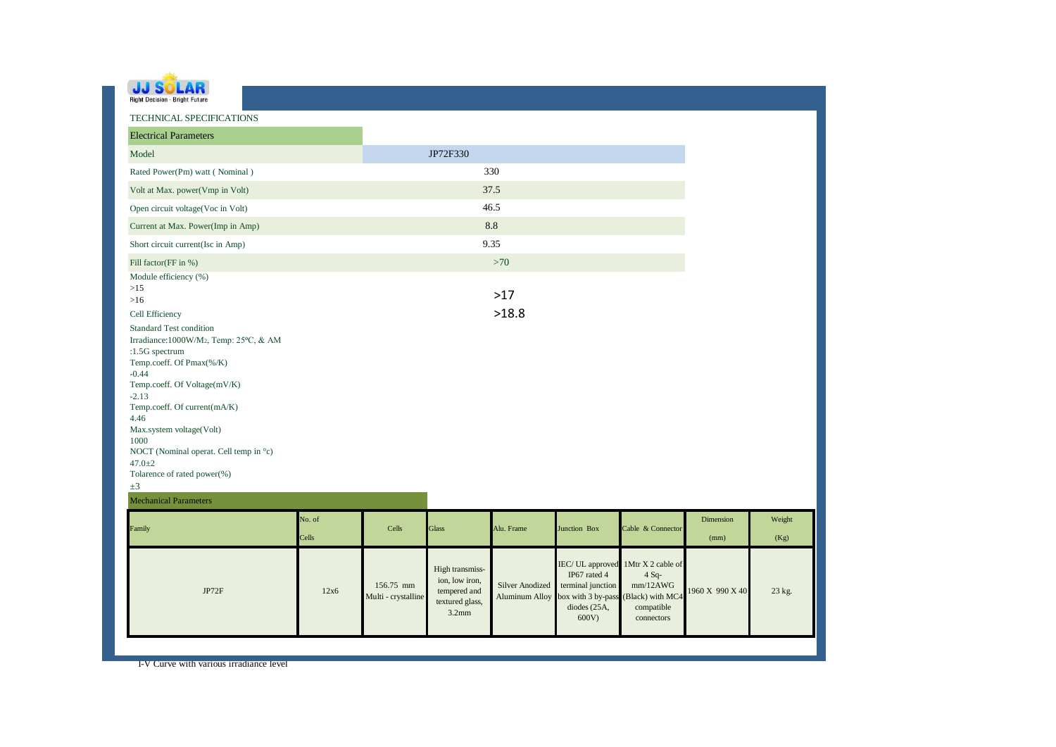| <b>Right Decision - Bright Future</b> |  |
|---------------------------------------|--|

| TECHNICAL SPECIFICATIONS                                                                                                                                                                                                                                                                                                                                                                                                 |                 |                                  |                                                                                  |                                                 |                                                                                                     |                                                                                          |                   |                |
|--------------------------------------------------------------------------------------------------------------------------------------------------------------------------------------------------------------------------------------------------------------------------------------------------------------------------------------------------------------------------------------------------------------------------|-----------------|----------------------------------|----------------------------------------------------------------------------------|-------------------------------------------------|-----------------------------------------------------------------------------------------------------|------------------------------------------------------------------------------------------|-------------------|----------------|
| <b>Electrical Parameters</b>                                                                                                                                                                                                                                                                                                                                                                                             |                 |                                  |                                                                                  |                                                 |                                                                                                     |                                                                                          |                   |                |
| Model                                                                                                                                                                                                                                                                                                                                                                                                                    |                 |                                  | JP72F330                                                                         |                                                 |                                                                                                     |                                                                                          |                   |                |
| Rated Power(Pm) watt (Nominal)                                                                                                                                                                                                                                                                                                                                                                                           |                 |                                  |                                                                                  | 330                                             |                                                                                                     |                                                                                          |                   |                |
| Volt at Max. power(Vmp in Volt)                                                                                                                                                                                                                                                                                                                                                                                          |                 |                                  |                                                                                  | 37.5                                            |                                                                                                     |                                                                                          |                   |                |
| Open circuit voltage(Voc in Volt)                                                                                                                                                                                                                                                                                                                                                                                        |                 |                                  |                                                                                  | 46.5                                            |                                                                                                     |                                                                                          |                   |                |
| Current at Max. Power(Imp in Amp)                                                                                                                                                                                                                                                                                                                                                                                        |                 |                                  |                                                                                  | $8.8\,$                                         |                                                                                                     |                                                                                          |                   |                |
| Short circuit current(Isc in Amp)                                                                                                                                                                                                                                                                                                                                                                                        |                 |                                  |                                                                                  | 9.35                                            |                                                                                                     |                                                                                          |                   |                |
| Fill factor(FF in %)                                                                                                                                                                                                                                                                                                                                                                                                     |                 |                                  |                                                                                  | >70                                             |                                                                                                     |                                                                                          |                   |                |
| Module efficiency (%)<br>$>15$<br>$>16$<br>Cell Efficiency<br><b>Standard Test condition</b><br>Irradiance: 1000W/M2, Temp: 25°C, & AM<br>:1.5G spectrum<br>Temp.coeff. Of Pmax(%/K)<br>$-0.44$<br>Temp.coeff. Of Voltage(mV/K)<br>$-2.13$<br>Temp.coeff. Of current(mA/K)<br>4.46<br>Max.system voltage(Volt)<br>1000<br>NOCT (Nominal operat. Cell temp in °c)<br>$47.0 + 2$<br>Tolarence of rated power(%)<br>$\pm 3$ |                 |                                  |                                                                                  | $>17$<br>>18.8                                  |                                                                                                     |                                                                                          |                   |                |
| <b>Mechanical Parameters</b>                                                                                                                                                                                                                                                                                                                                                                                             |                 |                                  |                                                                                  |                                                 |                                                                                                     |                                                                                          |                   |                |
| Family                                                                                                                                                                                                                                                                                                                                                                                                                   | No. of<br>Cells | Cells                            | <b>Glass</b>                                                                     | Alu. Frame                                      | Junction Box                                                                                        | Cable & Connector                                                                        | Dimension<br>(mm) | Weight<br>(Kg) |
| JP72F                                                                                                                                                                                                                                                                                                                                                                                                                    | 12x6            | 156.75 mm<br>Multi - crystalline | High transmiss-<br>ion, low iron,<br>tempered and<br>textured glass,<br>$3.2$ mm | <b>Silver Anodized</b><br><b>Aluminum Alloy</b> | IEC/ UL approved<br>IP67 rated 4<br>terminal junction<br>box with 3 by-pass<br>diodes (25A,<br>600V | 1Mtr X 2 cable of<br>$4 Sq-$<br>mm/12AWG<br>(Black) with MC4<br>compatible<br>connectors | 1960 X 990 X 40   | 23 kg.         |
| I-V Curve with various irradiance level                                                                                                                                                                                                                                                                                                                                                                                  |                 |                                  |                                                                                  |                                                 |                                                                                                     |                                                                                          |                   |                |